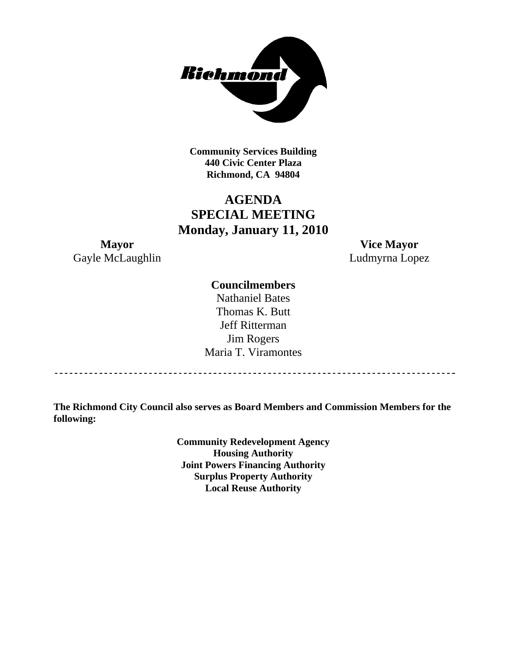

**Community Services Building 440 Civic Center Plaza Richmond, CA 94804** 

## **AGENDA SPECIAL MEETING Monday, January 11, 2010**

Gayle McLaughlin **Ludmyrna Lopez** 

**Mayor Vice Mayor** 

### **Councilmembers**

Nathaniel Bates Thomas K. Butt Jeff Ritterman Jim Rogers Maria T. Viramontes

**The Richmond City Council also serves as Board Members and Commission Members for the following:** 

> **Community Redevelopment Agency Housing Authority Joint Powers Financing Authority Surplus Property Authority Local Reuse Authority**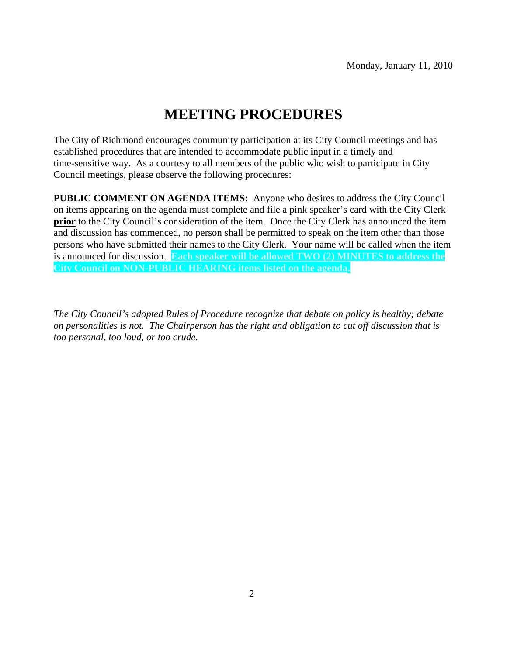# **MEETING PROCEDURES**

The City of Richmond encourages community participation at its City Council meetings and has established procedures that are intended to accommodate public input in a timely and time-sensitive way. As a courtesy to all members of the public who wish to participate in City Council meetings, please observe the following procedures:

**PUBLIC COMMENT ON AGENDA ITEMS:** Anyone who desires to address the City Council on items appearing on the agenda must complete and file a pink speaker's card with the City Clerk **prior** to the City Council's consideration of the item. Once the City Clerk has announced the item and discussion has commenced, no person shall be permitted to speak on the item other than those persons who have submitted their names to the City Clerk. Your name will be called when the item is announced for discussion. **Each speaker will be allowed TWO (2) MINUTES to address the City Council on NON-PUBLIC HEARING items listed on the agenda.** 

*The City Council's adopted Rules of Procedure recognize that debate on policy is healthy; debate on personalities is not. The Chairperson has the right and obligation to cut off discussion that is too personal, too loud, or too crude.*